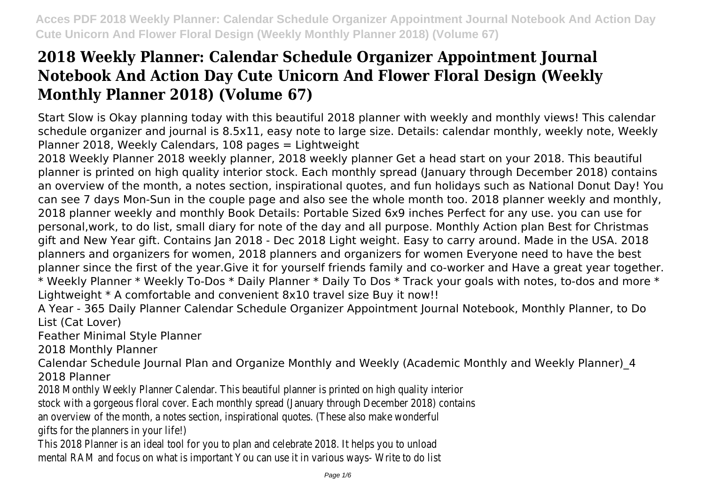Start Slow is Okay planning today with this beautiful 2018 planner with weekly and monthly views! This calendar schedule organizer and journal is 8.5x11, easy note to large size. Details: calendar monthly, weekly note, Weekly Planner 2018, Weekly Calendars, 108 pages = Lightweight

2018 Weekly Planner 2018 weekly planner, 2018 weekly planner Get a head start on your 2018. This beautiful planner is printed on high quality interior stock. Each monthly spread (January through December 2018) contains an overview of the month, a notes section, inspirational quotes, and fun holidays such as National Donut Day! You can see 7 days Mon-Sun in the couple page and also see the whole month too. 2018 planner weekly and monthly, 2018 planner weekly and monthly Book Details: Portable Sized 6x9 inches Perfect for any use. you can use for personal,work, to do list, small diary for note of the day and all purpose. Monthly Action plan Best for Christmas gift and New Year gift. Contains Jan 2018 - Dec 2018 Light weight. Easy to carry around. Made in the USA. 2018 planners and organizers for women, 2018 planners and organizers for women Everyone need to have the best planner since the first of the year.Give it for yourself friends family and co-worker and Have a great year together. \* Weekly Planner \* Weekly To-Dos \* Daily Planner \* Daily To Dos \* Track your goals with notes, to-dos and more \* Lightweight \* A comfortable and convenient 8x10 travel size Buy it now!!

A Year - 365 Daily Planner Calendar Schedule Organizer Appointment Journal Notebook, Monthly Planner, to Do List (Cat Lover)

Feather Minimal Style Planner

2018 Monthly Planner

Calendar Schedule Journal Plan and Organize Monthly and Weekly (Academic Monthly and Weekly Planner)\_4 2018 Planner

2018 Monthly Weekly Planner Calendar. This beautiful planner is printed on high quality interior

stock with a gorgeous floral cover. Each monthly spread (January through December 2018) contains

an overview of the month, a notes section, inspirational quotes. (These also make wonderful

gifts for the planners in your life!)

This 2018 Planner is an ideal tool for you to plan and celebrate 2018. It helps you to unload mental RAM and focus on what is important You can use it in various ways- Write to do list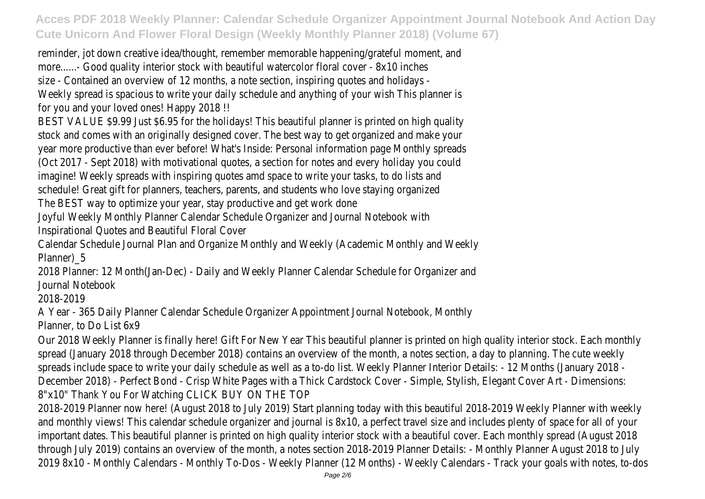reminder, jot down creative idea/thought, remember memorable happening/grateful moment, and more......- Good quality interior stock with beautiful watercolor floral cover - 8x10 inches size - Contained an overview of 12 months, a note section, inspiring quotes and holidays - Weekly spread is spacious to write your daily schedule and anything of your wish This planner is for you and your loved ones! Happy 2018 !!

BEST VALUE \$9.99 Just \$6.95 for the holidays! This beautiful planner is printed on high quality stock and comes with an originally designed cover. The best way to get organized and make your year more productive than ever before! What's Inside: Personal information page Monthly spreads (Oct 2017 - Sept 2018) with motivational quotes, a section for notes and every holiday you could imagine! Weekly spreads with inspiring quotes amd space to write your tasks, to do lists and schedule! Great gift for planners, teachers, parents, and students who love staying organized

The BEST way to optimize your year, stay productive and get work done

Joyful Weekly Monthly Planner Calendar Schedule Organizer and Journal Notebook with

Inspirational Quotes and Beautiful Floral Cover

Calendar Schedule Journal Plan and Organize Monthly and Weekly (Academic Monthly and Weekly Planner)\_5

2018 Planner: 12 Month(Jan-Dec) - Daily and Weekly Planner Calendar Schedule for Organizer and Journal Notebook

2018-2019

A Year - 365 Daily Planner Calendar Schedule Organizer Appointment Journal Notebook, Monthly Planner, to Do List 6x9

Our 2018 Weekly Planner is finally here! Gift For New Year This beautiful planner is printed on high quality interior stock. Each monthly spread (January 2018 through December 2018) contains an overview of the month, a notes section, a day to planning. The cute weekly spreads include space to write your daily schedule as well as a to-do list. Weekly Planner Interior Details: - 12 Months (January 2018 - December 2018) - Perfect Bond - Crisp White Pages with a Thick Cardstock Cover - Simple, Stylish, Elegant Cover Art - Dimensions: 8"x10" Thank You For Watching CLICK BUY ON THE TOP

2018-2019 Planner now here! (August 2018 to July 2019) Start planning today with this beautiful 2018-2019 Weekly Planner with weekly and monthly views! This calendar schedule organizer and journal is 8x10, a perfect travel size and includes plenty of space for all of your important dates. This beautiful planner is printed on high quality interior stock with a beautiful cover. Each monthly spread (August 2018 through July 2019) contains an overview of the month, a notes section 2018-2019 Planner Details: - Monthly Planner August 2018 to July 2019 8x10 - Monthly Calendars - Monthly To-Dos - Weekly Planner (12 Months) - Weekly Calendars - Track your goals with notes, to-dos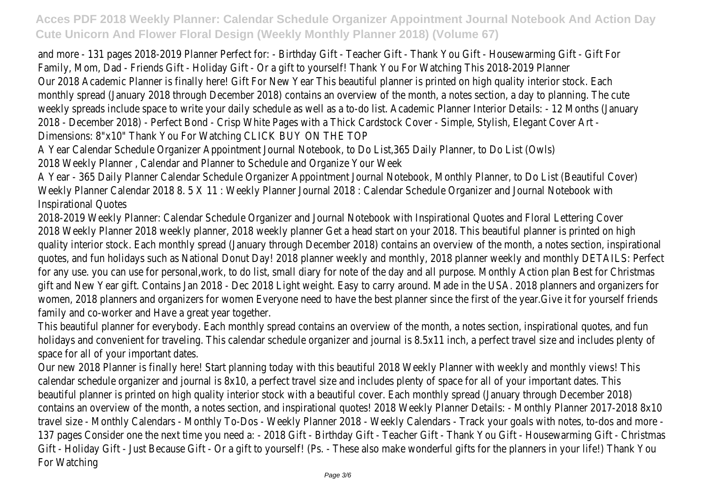and more - 131 pages 2018-2019 Planner Perfect for: - Birthday Gift - Teacher Gift - Thank You Gift - Housewarming Gift - Gift For Family, Mom, Dad - Friends Gift - Holiday Gift - Or a gift to yourself! Thank You For Watching This 2018-2019 Planner Our 2018 Academic Planner is finally here! Gift For New Year This beautiful planner is printed on high quality interior stock. Each monthly spread (January 2018 through December 2018) contains an overview of the month, a notes section, a day to planning. The cute weekly spreads include space to write your daily schedule as well as a to-do list. Academic Planner Interior Details: - 12 Months (January 2018 - December 2018) - Perfect Bond - Crisp White Pages with a Thick Cardstock Cover - Simple, Stylish, Elegant Cover Art - Dimensions: 8"x10" Thank You For Watching CLICK BUY ON THE TOP A Year Calendar Schedule Organizer Appointment Journal Notebook, to Do List,365 Daily Planner, to Do List (Owls)

2018 Weekly Planner , Calendar and Planner to Schedule and Organize Your Week

A Year - 365 Daily Planner Calendar Schedule Organizer Appointment Journal Notebook, Monthly Planner, to Do List (Beautiful Cover) Weekly Planner Calendar 2018 8. 5 X 11 : Weekly Planner Journal 2018 : Calendar Schedule Organizer and Journal Notebook with Inspirational Quotes

2018-2019 Weekly Planner: Calendar Schedule Organizer and Journal Notebook with Inspirational Quotes and Floral Lettering Cover 2018 Weekly Planner 2018 weekly planner, 2018 weekly planner Get a head start on your 2018. This beautiful planner is printed on high quality interior stock. Each monthly spread (January through December 2018) contains an overview of the month, a notes section, inspirational quotes, and fun holidays such as National Donut Day! 2018 planner weekly and monthly, 2018 planner weekly and monthly DETAILS: Perfect for any use. you can use for personal,work, to do list, small diary for note of the day and all purpose. Monthly Action plan Best for Christmas gift and New Year gift. Contains Jan 2018 - Dec 2018 Light weight. Easy to carry around. Made in the USA. 2018 planners and organizers for women, 2018 planners and organizers for women Everyone need to have the best planner since the first of the year.Give it for yourself friends family and co-worker and Have a great year together.

This beautiful planner for everybody. Each monthly spread contains an overview of the month, a notes section, inspirational quotes, and fun holidays and convenient for traveling. This calendar schedule organizer and journal is 8.5x11 inch, a perfect travel size and includes plenty of space for all of your important dates.

Our new 2018 Planner is finally here! Start planning today with this beautiful 2018 Weekly Planner with weekly and monthly views! This calendar schedule organizer and journal is 8x10, a perfect travel size and includes plenty of space for all of your important dates. This beautiful planner is printed on high quality interior stock with a beautiful cover. Each monthly spread (January through December 2018) contains an overview of the month, a notes section, and inspirational quotes! 2018 Weekly Planner Details: - Monthly Planner 2017-2018 8x10 travel size - Monthly Calendars - Monthly To-Dos - Weekly Planner 2018 - Weekly Calendars - Track your goals with notes, to-dos and more - 137 pages Consider one the next time you need a: - 2018 Gift - Birthday Gift - Teacher Gift - Thank You Gift - Housewarming Gift - Christmas Gift - Holiday Gift - Just Because Gift - Or a gift to yourself! (Ps. - These also make wonderful gifts for the planners in your life!) Thank You For Watching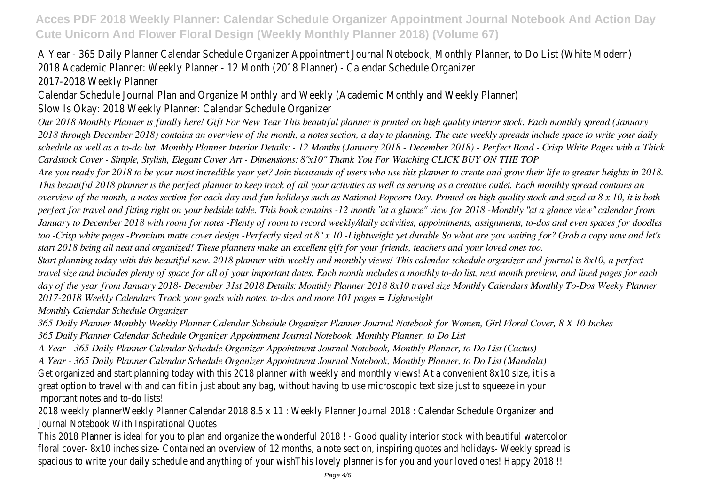## A Year - 365 Daily Planner Calendar Schedule Organizer Appointment Journal Notebook, Monthly Planner, to Do List (White Modern) 2018 Academic Planner: Weekly Planner - 12 Month (2018 Planner) - Calendar Schedule Organizer

2017-2018 Weekly Planner

Calendar Schedule Journal Plan and Organize Monthly and Weekly (Academic Monthly and Weekly Planner)

Slow Is Okay: 2018 Weekly Planner: Calendar Schedule Organizer

*Our 2018 Monthly Planner is finally here! Gift For New Year This beautiful planner is printed on high quality interior stock. Each monthly spread (January 2018 through December 2018) contains an overview of the month, a notes section, a day to planning. The cute weekly spreads include space to write your daily schedule as well as a to-do list. Monthly Planner Interior Details: - 12 Months (January 2018 - December 2018) - Perfect Bond - Crisp White Pages with a Thick Cardstock Cover - Simple, Stylish, Elegant Cover Art - Dimensions: 8"x10" Thank You For Watching CLICK BUY ON THE TOP*

*Are you ready for 2018 to be your most incredible year yet? Join thousands of users who use this planner to create and grow their life to greater heights in 2018. This beautiful 2018 planner is the perfect planner to keep track of all your activities as well as serving as a creative outlet. Each monthly spread contains an overview of the month, a notes section for each day and fun holidays such as National Popcorn Day. Printed on high quality stock and sized at 8 x 10, it is both perfect for travel and fitting right on your bedside table. This book contains -12 month "at a glance" view for 2018 -Monthly "at a glance view" calendar from January to December 2018 with room for notes -Plenty of room to record weekly/daily activities, appointments, assignments, to-dos and even spaces for doodles too -Crisp white pages -Premium matte cover design -Perfectly sized at 8" x 10 -Lightweight yet durable So what are you waiting for? Grab a copy now and let's start 2018 being all neat and organized! These planners make an excellent gift for your friends, teachers and your loved ones too.*

*Start planning today with this beautiful new. 2018 planner with weekly and monthly views! This calendar schedule organizer and journal is 8x10, a perfect travel size and includes plenty of space for all of your important dates. Each month includes a monthly to-do list, next month preview, and lined pages for each day of the year from January 2018- December 31st 2018 Details: Monthly Planner 2018 8x10 travel size Monthly Calendars Monthly To-Dos Weeky Planner 2017-2018 Weekly Calendars Track your goals with notes, to-dos and more 101 pages = Lightweight*

*Monthly Calendar Schedule Organizer*

*365 Daily Planner Monthly Weekly Planner Calendar Schedule Organizer Planner Journal Notebook for Women, Girl Floral Cover, 8 X 10 Inches 365 Daily Planner Calendar Schedule Organizer Appointment Journal Notebook, Monthly Planner, to Do List*

*A Year - 365 Daily Planner Calendar Schedule Organizer Appointment Journal Notebook, Monthly Planner, to Do List (Cactus)*

*A Year - 365 Daily Planner Calendar Schedule Organizer Appointment Journal Notebook, Monthly Planner, to Do List (Mandala)*

Get organized and start planning today with this 2018 planner with weekly and monthly views! At a convenient 8x10 size, it is a

great option to travel with and can fit in just about any bag, without having to use microscopic text size just to squeeze in your important notes and to-do lists!

2018 weekly plannerWeekly Planner Calendar 2018 8.5 x 11 : Weekly Planner Journal 2018 : Calendar Schedule Organizer and Journal Notebook With Inspirational Quotes

This 2018 Planner is ideal for you to plan and organize the wonderful 2018 ! - Good quality interior stock with beautiful watercolor floral cover- 8x10 inches size- Contained an overview of 12 months, a note section, inspiring quotes and holidays- Weekly spread is spacious to write your daily schedule and anything of your wishThis lovely planner is for you and your loved ones! Happy 2018 !!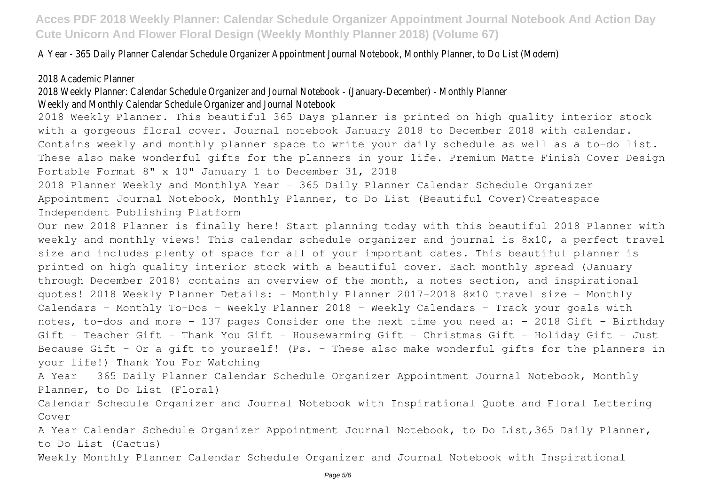A Year - 365 Daily Planner Calendar Schedule Organizer Appointment Journal Notebook, Monthly Planner, to Do List (Modern)

## 2018 Academic Planner

2018 Weekly Planner: Calendar Schedule Organizer and Journal Notebook - (January-December) - Monthly Planner

## Weekly and Monthly Calendar Schedule Organizer and Journal Notebook

2018 Weekly Planner. This beautiful 365 Days planner is printed on high quality interior stock with a gorgeous floral cover. Journal notebook January 2018 to December 2018 with calendar. Contains weekly and monthly planner space to write your daily schedule as well as a to-do list. These also make wonderful gifts for the planners in your life. Premium Matte Finish Cover Design Portable Format 8" x 10" January 1 to December 31, 2018

2018 Planner Weekly and MonthlyA Year - 365 Daily Planner Calendar Schedule Organizer Appointment Journal Notebook, Monthly Planner, to Do List (Beautiful Cover)Createspace Independent Publishing Platform

Our new 2018 Planner is finally here! Start planning today with this beautiful 2018 Planner with weekly and monthly views! This calendar schedule organizer and journal is 8x10, a perfect travel size and includes plenty of space for all of your important dates. This beautiful planner is printed on high quality interior stock with a beautiful cover. Each monthly spread (January through December 2018) contains an overview of the month, a notes section, and inspirational quotes! 2018 Weekly Planner Details: - Monthly Planner 2017-2018 8x10 travel size - Monthly Calendars - Monthly To-Dos - Weekly Planner 2018 - Weekly Calendars - Track your goals with notes, to-dos and more - 137 pages Consider one the next time you need a: - 2018 Gift - Birthday Gift - Teacher Gift - Thank You Gift - Housewarming Gift - Christmas Gift - Holiday Gift - Just Because Gift - Or a gift to yourself! (Ps. - These also make wonderful gifts for the planners in your life!) Thank You For Watching

A Year - 365 Daily Planner Calendar Schedule Organizer Appointment Journal Notebook, Monthly Planner, to Do List (Floral)

Calendar Schedule Organizer and Journal Notebook with Inspirational Quote and Floral Lettering Cover

A Year Calendar Schedule Organizer Appointment Journal Notebook, to Do List,365 Daily Planner, to Do List (Cactus)

Weekly Monthly Planner Calendar Schedule Organizer and Journal Notebook with Inspirational